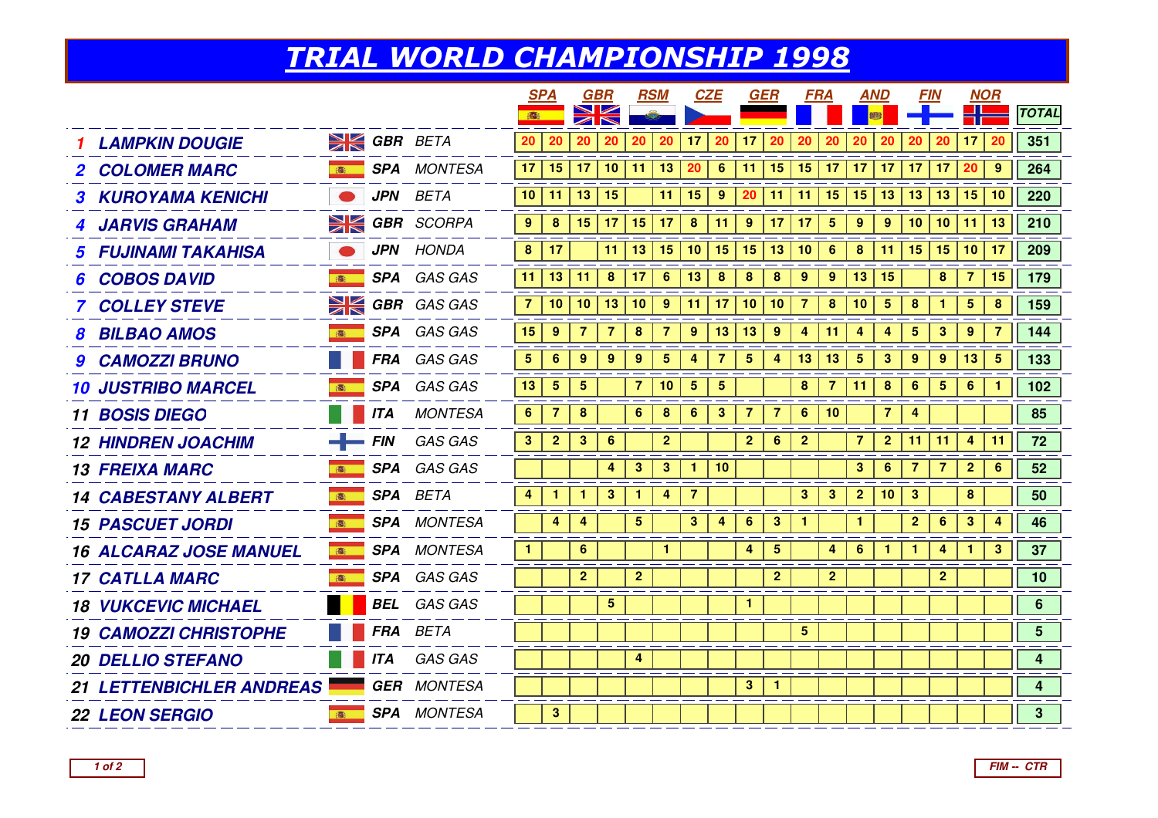## TRIAL WORLD CHAMPIONSHIP 1998

|                                 |                  |            |                      |                  | <b>SPA</b>     |                         | <b>GBR</b>     | <b>RSM</b>     |                | <b>CZE</b>      |                         | GER              |                         | <b>FRA</b>     |                         | <b>AND</b>       |                  | <b>FIN</b>   |                 | <b>NOR</b>      |            |                 |
|---------------------------------|------------------|------------|----------------------|------------------|----------------|-------------------------|----------------|----------------|----------------|-----------------|-------------------------|------------------|-------------------------|----------------|-------------------------|------------------|------------------|--------------|-----------------|-----------------|------------|-----------------|
|                                 |                  |            |                      | ●                |                | $\overline{\mathbb{Z}}$ |                |                |                |                 |                         |                  |                         |                |                         |                  |                  |              |                 |                 |            | <b>TOTAL</b>    |
| <b>LAMPKIN DOUGIE</b>           |                  |            | <b>EX GBR BETA</b>   | 20               | 20             | 20                      | 20             | 20             | 20             | 17 <sup>2</sup> | 20                      | 17               | 20                      | 20             | 20                      | 20               | 20               | 20           | 20              | 17 <sub>2</sub> | 20         | 351             |
| <b>2 COLOMER MARC</b>           | 高                |            | <b>SPA</b> MONTESA   | 17               | 15             | 17                      | 10             | 11             | 13             | 20              | 6                       | 11               | 15 <sub>1</sub>         | 15             | 17                      | 17               | 17               | 17           | 17              | 20              | 9          | 264             |
| <b>3 KUROYAMA KENICHI</b>       |                  |            | JPN BETA             | 10 <sup>1</sup>  | 11             | 13                      | 15             |                | 11             | 15              | 9                       | 20               | 11                      | 11             | 15                      | 15               | 13               | 13           | 13              | 15              | 10         | 220             |
| <b>4 JARVIS GRAHAM</b>          |                  |            | <b>EX GBR</b> SCORPA | $\boldsymbol{9}$ | 8              | 15                      | 17             | 15             | 17             | $\pmb{8}$       | 11                      | $\boldsymbol{9}$ | 17                      | 17             | $\overline{\mathbf{5}}$ | $\boldsymbol{9}$ | $\boldsymbol{9}$ | 10           | 10              | 11              | 13         | 210             |
| <b>5 FUJINAMI TAKAHISA</b>      |                  |            | <b>JPN</b> HONDA     | 8                | 17             |                         | 11             | 13             | 15             | 10              | 15                      | 15               | 13                      | 10             | 6                       | 8                | 11               | 15           | 15 <sub>1</sub> | 10 <sub>1</sub> | 17         | 209             |
| <b>COBOS DAVID</b>              | 高                |            | SPA GAS GAS          | 11               | 13             | $\vert$ 11              | 8              | 17             | $6\phantom{1}$ | 13 <sup>°</sup> | $\boldsymbol{8}$        | 8                | $\boldsymbol{8}$        | 9              | $9^{\circ}$             | 13               | 15               |              | 8               | $\overline{7}$  | 15         | 179             |
| <b>7 COLLEY STEVE</b>           |                  |            | $\geq$ GBR GAS GAS   | $\overline{7}$   | 10             | 10                      | 13             | 10             | 9              | 11              | 17 <sub>2</sub>         | 10 <sub>1</sub>  | 10                      | $\overline{7}$ | 8                       | 10               | $5\phantom{.0}$  | 8            | $\mathbf{1}$    | 5               | 8          | 159             |
| <b>BILBAO AMOS</b>              | 高                |            | SPA GAS GAS          | 15               | -9             |                         | 7              | 8              | $\overline{7}$ | 9               | 13                      | 13               | 9                       | 4              | 11                      | 4                | 4                | 5            | 3               | 9               | 7          | 144             |
| <b>9 CAMOZZI BRUNO</b>          |                  |            | FRA GAS GAS          | 5 <sub>5</sub>   | 6              | 9                       | 9              | 9              | 5              | 4               | $\overline{7}$          | $5\phantom{.0}$  | $\overline{\mathbf{4}}$ | 13             | 13                      | $5\phantom{.0}$  | 3                | 9            | 9               | 13              | $\sqrt{5}$ | 133             |
| <b>10 JUSTRIBO MARCEL</b>       |                  |            | SPA GAS GAS          | 13               | $\sqrt{5}$     | 5                       |                | 7              | 10             | 5               | $\overline{\mathbf{5}}$ |                  |                         | 8              | 7                       | 11               | 8                | 6            | 5               | 6               | 1          | 102             |
| <b>11 BOSIS DIEGO</b>           |                  | <b>ITA</b> | <b>MONTESA</b>       | 6                | $\overline{7}$ | 8                       |                | 6              | 8              | $6\phantom{a}$  | $\mathbf{3}$            | $\overline{7}$   | $\overline{7}$          | $6\phantom{1}$ | 10                      |                  | $\overline{7}$   | 4            |                 |                 |            | 85              |
| <b>12 HINDREN JOACHIM</b>       | $\leftarrow$ FIN |            | GAS GAS              | 3                | $\overline{2}$ | 3                       | 6              |                | $\overline{2}$ |                 |                         | $\overline{2}$   | 6                       | $\mathbf{2}$   |                         | $\overline{7}$   | $\mathbf{2}$     | 11           | 11              | 4               | 11         | 72              |
| <b>13 FREIXA MARC</b>           | 高                |            | SPA GAS GAS          |                  |                |                         | 4              | $\mathbf{3}$   | $\mathbf{3}$   | $\mathbf{1}$    | 10                      |                  |                         |                |                         | $\mathbf{3}$     | 6                | 7            | 7               | $\overline{2}$  | 6          | 52              |
| <b>14 CABESTANY ALBERT</b>      | 高                |            | <b>SPA</b> BETA      | 4                | 1              |                         | 3              |                | 4              | $\overline{7}$  |                         |                  |                         | $\mathbf{3}$   | $\mathbf{3}$            | $\overline{2}$   | 10               | 3            |                 | 8               |            | 50              |
| <b>15 PASCUET JORDI</b>         | 高                |            | <b>SPA</b> MONTESA   |                  | 4              | 4                       |                | 5              |                | 3               | 4                       | 6                | 3                       |                |                         |                  |                  | $\mathbf{2}$ | 6               | 3               | 4          | 46              |
| <b>16 ALCARAZ JOSE MANUEL</b>   | ■ 高              |            | <b>SPA</b> MONTESA   | -1               |                | 6                       |                |                | 1              |                 |                         | 4                | $5\phantom{.0}$         |                | 4                       | 6                | $\mathbf{1}$     | $\mathbf{1}$ | 4               | 1               | 3          | 37              |
| <b>17 CATLLA MARC</b>           | 高                |            | SPA GAS GAS          |                  |                | $\overline{2}$          |                | $\mathbf{2}$   |                |                 |                         |                  | 2 <sub>2</sub>          |                | $\overline{2}$          |                  |                  |              | 2 <sup>1</sup>  |                 |            | 10              |
| <b>18 VUKCEVIC MICHAEL</b>      |                  |            | <b>BEL</b> GAS GAS   |                  |                |                         | $\overline{5}$ |                |                |                 |                         | $\mathbf{1}$     |                         |                |                         |                  |                  |              |                 |                 |            | 6               |
| <b>19 CAMOZZI CHRISTOPHE</b>    |                  |            | FRA BETA             |                  |                |                         |                |                |                |                 |                         |                  |                         | 5 <sup>5</sup> |                         |                  |                  |              |                 |                 |            | $5\phantom{.0}$ |
| <b>20 DELLIO STEFANO</b>        |                  | <b>ITA</b> | GAS GAS              |                  |                |                         |                | $\overline{4}$ |                |                 |                         |                  |                         |                |                         |                  |                  |              |                 |                 |            | 4               |
| <b>21 LETTENBICHLER ANDREAS</b> |                  |            | <b>GER</b> MONTESA   |                  |                |                         |                |                |                |                 |                         | 3 <sup>1</sup>   | $\mathbf{1}$            |                |                         |                  |                  |              |                 |                 |            | 4               |
| <b>22 LEON SERGIO</b>           | 商                |            | <b>SPA</b> MONTESA   |                  | 3              |                         |                |                |                |                 |                         |                  |                         |                |                         |                  |                  |              |                 |                 |            | 3 <sup>1</sup>  |
|                                 |                  |            |                      |                  |                |                         |                |                |                |                 |                         |                  |                         |                |                         |                  |                  |              |                 |                 |            |                 |